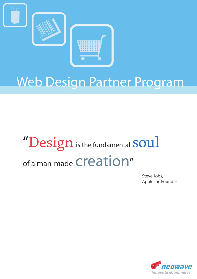

## Web Design Partner Program

# $"Design$  is the fundamental  $soul$ of a man-made creation"

Steve Jobs, Apple Inc Founder

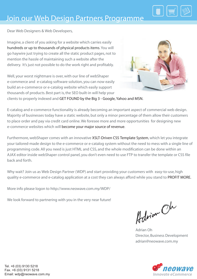

Dear Web Designers & Web Developers,

Imagine, a client of you asking for a website which carries easily hundreds or up to thousands of physical products items. You will go haywire just trying to create all the static product pages, not to mention the hassle of maintaining such a website after the delivery. It's just not possible to do the work right and profitably.

Well, your worst nightmare is over, with our line of webShaper e-commerce and e-catalog software solution, you can now easily build an e-commerce or e-catalog website which easily support thousands of products. Best part is, the SEO built-in will help your



clients to properly indexed and GET FOUND by the Big 3 - Google, Yahoo and MSN.

E-catalog and e-commerce functionality is already becoming an important aspect of commercial web design. Majority of businesses today have a static website, but only a minor percentage of them allow their customers to place order and pay via credit card online. We foresee more and more opportunities for designing new e-commerce websites which will become your major source of revenue.

Furthermore, webShaper comes with an innovative XSLT-Driven CSS Template System, which let you integrate your tailored-made design to the e-commerce or e-catalog system without the need to mess with a single line of programming code. All you need is just HTML and CSS, and the whole modification can be done within an AJAX editor inside webShaper control panel, you don't even need to use FTP to transfer the template or CSS file back and forth.

Why wait? Join us as Web Design Partner (WDP) and start providing your customers with easy-to-use, high quality e-commerce and e-catalog application at a cost they can always afford while you stand to PROFIT MORE.

More info please logon to http://www.neowave.com.my/WDP/

We look forward to partnering with you in the very near future!

Advian Oh

Adrian Oh Director, Business Development adrian@neowave.com.my

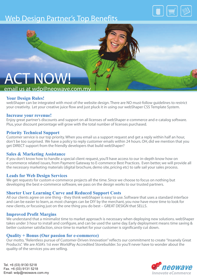## Web Design Partner's Top Benefits





### email us at wdp@neowave.com.m

#### **Your Design Rules!**

webShaper can be integrated with most of the website design. There are NO must-follow guidelines to restrict your creativity. Let your creative juice flow and just pluck it in using our webShaper CSS Template System.

#### **Increase your revenue!**

Enjoy great partner's discounts and support on all licenses of webShaper e-commerce and e-catalog software. Plus, your discount percentage will grow with the total number of licenses purchased.

#### **Priority Technical Support**

Customer service is our top priority. When you email us a support request and get a reply within half an hour, don't be too surprised. We have a policy to reply customer emails within 24 hours. OH, did we mention that you get DIRECT support from the friendly developers that build webShaper?

#### **Sales & Marketing Assistance**

If you don't know how to handle a special client request, you'll have access to our in-depth know how on e-commerce related issues, from Payment Gateway to E-commerce Best Practices. Even better, we will provide all the necessary marketing materials (digital brochure, demo site, pricing etc) to safe sail your sales process.

#### **Leads for Web Design Services**

We get requests for custom e-commerce projects all the time. Since we choose to focus on nothing but developing the best e-commerce software, we pass on the design works to our trusted partners.

#### **Shorter User Learning Curve and Reduced Support Costs**

All our clients agree on one thing - they think webShaper is easy to use. Software that uses a standard interface and can be easier to learn, as most changes can be DIY by the merchant, you now have more time to look for new clients, or focusing just on the one thing you do best – GREAT DESIGN that SELLS.

#### **Improved Profit Margins**

We understand that a minimalist time to market approach is necessary when deploying new solutions. webShaper takes under 3 hour to install and configure, and can be used the same day. Early deployment means time saving & better customer satisfaction, since time to market for your customer is significantly cut down.

#### **Quality + Bonus (Our passion for e-commerce)**

Our motto, "Relentless pursue of Customer-Driven Innovation" reflects our commitment to create "Insanely Great Products". We are ASIA's 1st ever WorldPay Accredited Storebuilder. So you'll never have to wonder about the quality of the services you are selling.

*ROWAVE* 

Tel. +6 (03) 9130 5218 Fax. +6 (03) 9131 5218 Email: wdp@neowave.com.my *Innovate eCommerce*